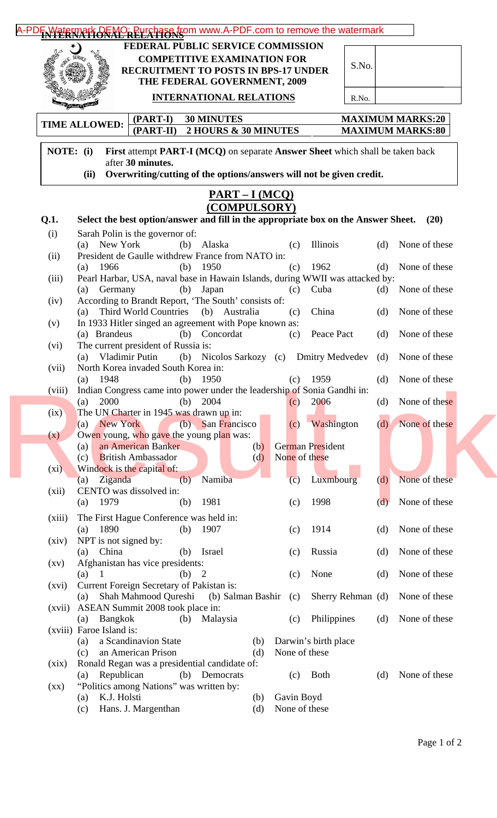|                    | FEDERAL PUBLIC SERVICE COMMISSION<br><b>COMPETITIVE EXAMINATION FOR</b><br>S.No.<br><b>RECRUITMENT TO POSTS IN BPS-17 UNDER</b><br>THE FEDERAL GOVERNMENT, 2009                    |
|--------------------|------------------------------------------------------------------------------------------------------------------------------------------------------------------------------------|
|                    | <b>INTERNATIONAL RELATIONS</b><br>R.No.<br><b>PALLA</b> PRIM                                                                                                                       |
|                    | $(PART-I)$<br><b>30 MINUTES</b><br><b>MAXIMUM MARKS:20</b><br><b>TIME ALLOWED:</b><br>$(PART-II)$<br>2 HOURS & 30 MINUTES<br><b>MAXIMUM MARKS:80</b>                               |
| NOTE: (i)          | First attempt PART-I (MCQ) on separate Answer Sheet which shall be taken back<br>after 30 minutes.<br>Overwriting/cutting of the options/answers will not be given credit.<br>(ii) |
|                    | $PART-I(MCO)$                                                                                                                                                                      |
| Q.1.               | (COMPULSORY)<br>Select the best option/answer and fill in the appropriate box on the Answer Sheet.<br>(20)                                                                         |
| (i)                | Sarah Polin is the governor of:                                                                                                                                                    |
|                    | (a) New York<br>Illinois<br>None of these<br>(b)<br>Alaska<br>(d)<br>(c)<br>President de Gaulle withdrew France from NATO in:                                                      |
| (ii)               | 1962<br>(d) None of these<br>$(a)$ 1966<br>(b) $1950$<br>(c)                                                                                                                       |
| (iii)              | Pearl Harbar, USA, naval base in Hawain Islands, during WWII was attacked by:                                                                                                      |
| (iv)               | (d) None of these<br>Germany<br>(b)<br>Japan<br>Cuba<br>(a)<br>(c)<br>According to Brandt Report, 'The South' consists of:                                                         |
|                    | Third World Countries (b) Australia<br>China<br>None of these<br>(d)<br>(c)<br>(a)                                                                                                 |
| (v)                | In 1933 Hitler singed an agreement with Pope known as:<br>(b) Concordat<br>Peace Pact<br>None of these<br>(a) Brandeus<br>(d)<br>(c)                                               |
| (vi)               | The current president of Russia is:                                                                                                                                                |
| (vii)              | Vladimir Putin<br>(b) Nicolos Sarkozy (c) Dmitry Medvedev (d)<br>None of these<br>(a)<br>North Korea invaded South Korea in:                                                       |
|                    | None of these<br>(a) $1948$<br>(b) $1950$<br>$(c)$ 1959<br>(d)                                                                                                                     |
| (viii)             | Indian Congress came into power under the leadership of Sonia Gandhi in:<br>None of these<br>2000<br>2004<br>2006<br>(d)<br>(a)<br>(b)<br>(c)                                      |
| (ix)               | The UN Charter in 1945 was drawn up in:                                                                                                                                            |
| (x)                | Washington<br>None of these<br>(a) New York<br>(b) San Francisco<br>(c)<br>(d)<br>Owen young, who gave the young plan was:                                                         |
|                    | an American Banker<br>German President<br>(b)<br>(a)                                                                                                                               |
|                    | None of these<br><b>British Ambassador</b><br>(c)<br>(d)                                                                                                                           |
| $(x_i)$            | Windock is the capital of:<br>None of these<br>Namiba<br>(c)<br>Ziganda<br>Luxmbourg<br>(b)<br>(d)<br>(a)                                                                          |
| (xii)              | CENTO was dissolved in:                                                                                                                                                            |
|                    | 1979<br>1981<br>1998<br>None of these<br>(a)<br>(b)<br>(d)<br>(c)                                                                                                                  |
| (xiii)             | The First Hague Conference was held in:<br>1890<br>1914<br>None of these<br>1907<br>(a)<br>(b)<br>(d)<br>(c)                                                                       |
| (xiv)              | NPT is not signed by:                                                                                                                                                              |
| $\left( xy\right)$ | China<br>Russia<br>None of these<br>Israel<br>(a)<br>(b)<br>(d)<br>(c)<br>Afghanistan has vice presidents:                                                                         |
|                    | None<br>None of these<br>$(a)$ 1<br>(b) 2<br>(d)<br>(c)                                                                                                                            |
| (xvi)              | Current Foreign Secretary of Pakistan is:<br>Shah Mahmood Qureshi<br>(b) Salman Bashir<br>Sherry Rehman (d)<br>None of these<br>(a)<br>(c)                                         |
| (xvii)             | ASEAN Summit 2008 took place in:                                                                                                                                                   |
|                    | <b>Bangkok</b><br>Philippines<br>None of these<br>(b)<br>Malaysia<br>(d)<br>(a)<br>(c)<br>(xviii) Faroe Island is:                                                                 |
|                    | a Scandinavion State<br>Darwin's birth place<br>(b)<br>(a)                                                                                                                         |
| (xix)              | an American Prison<br>None of these<br>(c)<br>(d)<br>Ronald Regan was a presidential candidate of:                                                                                 |
|                    | <b>Both</b><br>None of these<br>Republican<br>(b) Democrats<br>(c)<br>(d)<br>(a)                                                                                                   |
| $\left( xx\right)$ | "Politics among Nations" was written by:                                                                                                                                           |
|                    | K.J. Holsti<br>Gavin Boyd<br>(a)<br>(b)                                                                                                                                            |